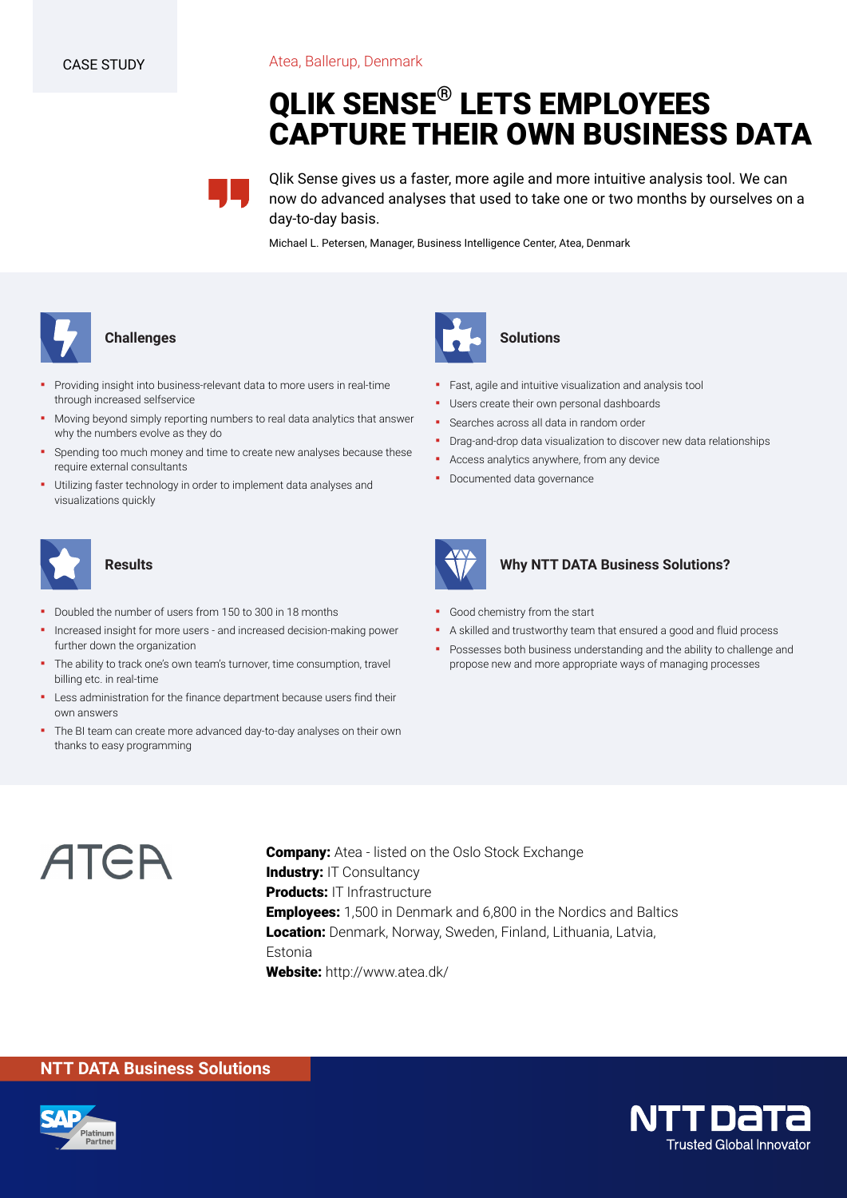Atea, Ballerup, Denmark

# **QLIK SENSE® LETS EMPLOYEES CAPTURE THEIR OWN BUSINESS DATA**



Qlik Sense gives us a faster, more agile and more intuitive analysis tool. We can now do advanced analyses that used to take one or two months by ourselves on a day-to-day basis.

Michael L. Petersen, Manager, Business Intelligence Center, Atea, Denmark



#### **Challenges**

- Providing insight into business-relevant data to more users in real-time through increased selfservice
- Moving beyond simply reporting numbers to real data analytics that answer why the numbers evolve as they do
- Spending too much money and time to create new analyses because these require external consultants
- Utilizing faster technology in order to implement data analyses and visualizations quickly



#### **Results**

- Doubled the number of users from 150 to 300 in 18 months
- Increased insight for more users and increased decision-making power further down the organization
- The ability to track one's own team's turnover, time consumption, travel billing etc. in real-time
- **•** Less administration for the finance department because users find their own answers
- The BI team can create more advanced day-to-day analyses on their own thanks to easy programming



# **Solutions**

- Fast, agile and intuitive visualization and analysis tool
- Users create their own personal dashboards
- Searches across all data in random order
- **•** Drag-and-drop data visualization to discover new data relationships
- **•** Access analytics anywhere, from any device
- Documented data governance



#### **Why NTT DATA Business Solutions?**

- Good chemistry from the start
- A skilled and trustworthy team that ensured a good and fluid process
- Possesses both business understanding and the ability to challenge and propose new and more appropriate ways of managing processes



**Company:** Atea - listed on the Oslo Stock Exchange **Industry: IT Consultancy Products:** IT Infrastructure **Employees:** 1,500 in Denmark and 6,800 in the Nordics and Baltics **Location:** Denmark, Norway, Sweden, Finland, Lithuania, Latvia, Estonia **Website:** http://www.atea.dk/

## **NTT DATA Business Solutions**